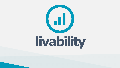



# livability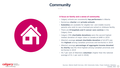

#### **A focus on family and a sense of community**

- Calgary schools are consistently **top performers** in Alberta
- Numerous **charter** and **private schools**
- **Subsidies** are available for eligible low- and middle-income parents who wish to use a licensed pre-school or childcare facility
- There are **8 hospitals and 5 cancer care centres** in the Calgary Zone
- Calgary CMA **charitable donations** were the second highest median donation of major cities in Canada at \$480 in 2019
- Alberta's average **annual charitable donation** of \$2,875 was the **highest** among Canadian provinces and territories in 2019
- Alberta's average **percentage of aggregate income donated to charity** was the third highest among Canadian provinces and territories in 2019
- 45.7 per cent of Albertans **volunteer** (higher than the national average of 41.1 per cent in 2018)

## **Community** $\bullet\bullet\bullet$









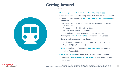





#### **Vast integrated network of roads, LRTs and buses**

- The city is spread out covering more than 848 square kilometres
- Calgary boasts one of the **most successful transit systems** in the world
	- The most rapid transit service per million residents of any major Canadian city
	- Ridership of 105.3 million trips in 2018
	- 169 bus routes and 46 LRT stations
	- Free and monthly permit parking at most LRT stations
- Among the **easiest commutes** of major cities in Canada
- Several taxi companies serve Calgary
	- Catch a taxi downtown at the cab stand  $2^{nd}$  Street SW and  $8^{th}$ Avenue SW (Stephen Avenue)
- **Uber** is available in Calgary and **Communauto** car sharing launched August 2020
- **Bird** and **Neuron** e-scooter seasonal rentals are available; designated **Share & Go Parking Zones** are provided on select city streets





*Sources: The City of Calgary, Calgary Transit, INRIX, TomTom, Car2Go, Uber Fast Cities: A comparison of rapid transit in major Canadian cities, Pembina Institute, September 2014*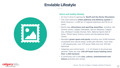16

- An hour's drive to spectacular **Banff and the Rocky Mountains**
- The most extensive **urban pathway and bikeway system** in North America ( $\sim$ 1,000 km of regional pathways and 96 km of trails)
- World-class **attractions and sporting amenities**, including: the Central Library, Calgary Stampede, Spruce Meadows, Calgary Zoo, WinSport Canada Olympic Park, National Sports Hall of Fame, TELUS Spark Science Centre and the National Music **Centre**
- Abundant **green space and parks** including over 8,000 hectares of parkland and natural areas; 8,400 park benches; more than 1,100 playgrounds; over 475 soccer fields and over 430 ball diamonds
- Calgarians are animal lovers 1 in 10 choose to be proud pup parents! There are over **150 off-leash areas totaling more than 1,250 hectares**
- A community rich in the **arts, culture, entertainment and leisure** activities and venues

#### **Active and healthy lifestyle**







## **Enviable Lifestyle** $\bullet\bullet\bullet$